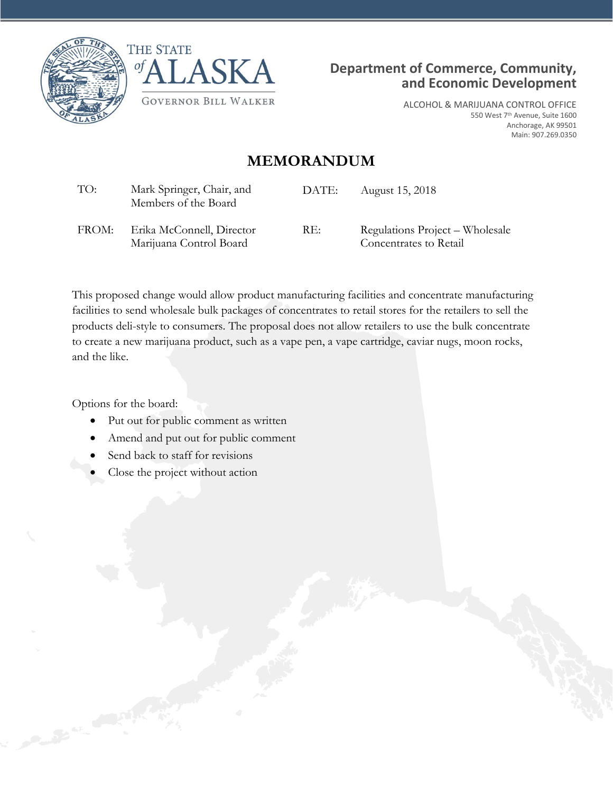





ALCOHOL & MARIJUANA CONTROL OFFICE 550 West 7th Avenue, Suite 1600 Anchorage, AK 99501 Main: 907.269.0350

## **MEMORANDUM**

| TO:   | Mark Springer, Chair, and<br>Members of the Board    | DATE: | August 15, 2018                                           |
|-------|------------------------------------------------------|-------|-----------------------------------------------------------|
| FROM: | Erika McConnell, Director<br>Marijuana Control Board | RE:   | Regulations Project – Wholesale<br>Concentrates to Retail |

This proposed change would allow product manufacturing facilities and concentrate manufacturing facilities to send wholesale bulk packages of concentrates to retail stores for the retailers to sell the products deli-style to consumers. The proposal does not allow retailers to use the bulk concentrate to create a new marijuana product, such as a vape pen, a vape cartridge, caviar nugs, moon rocks, and the like.

Options for the board:

- Put out for public comment as written
- Amend and put out for public comment
- Send back to staff for revisions
- Close the project without action